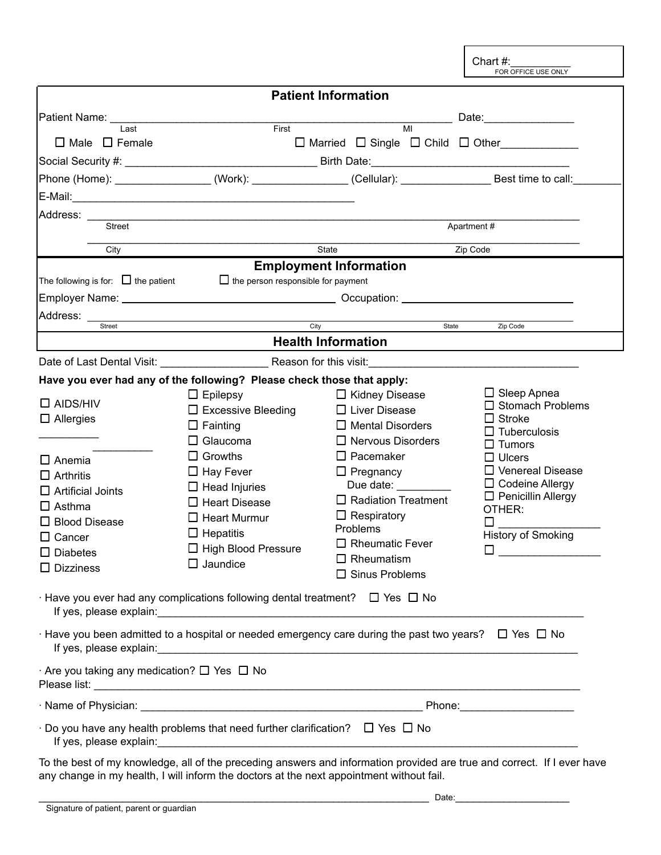Chart #:<br>FOR OFFICE USE ONLY

|                                                             |                                                                                               | <b>Patient Information</b>                                                                                            |                                                                                                                         |
|-------------------------------------------------------------|-----------------------------------------------------------------------------------------------|-----------------------------------------------------------------------------------------------------------------------|-------------------------------------------------------------------------------------------------------------------------|
| Patient Name: <b>Mathematic Property</b>                    |                                                                                               |                                                                                                                       | Date: <u>Date:</u>                                                                                                      |
| Last                                                        | First                                                                                         | $\overline{M}$                                                                                                        |                                                                                                                         |
| $\Box$ Male $\Box$ Female                                   |                                                                                               | $\Box$ Married $\Box$ Single $\Box$ Child $\Box$ Other                                                                |                                                                                                                         |
|                                                             |                                                                                               |                                                                                                                       |                                                                                                                         |
|                                                             |                                                                                               | Phone (Home): __________________(Work): ________________(Cellular): _______________Best time to call:_                |                                                                                                                         |
|                                                             |                                                                                               |                                                                                                                       |                                                                                                                         |
|                                                             |                                                                                               |                                                                                                                       |                                                                                                                         |
| <b>Street</b>                                               |                                                                                               |                                                                                                                       | Apartment#                                                                                                              |
| City                                                        |                                                                                               | <b>State</b>                                                                                                          | Zip Code                                                                                                                |
|                                                             |                                                                                               | <b>Employment Information</b>                                                                                         |                                                                                                                         |
| The following is for: $\Box$ the patient                    | $\Box$ the person responsible for payment                                                     |                                                                                                                       |                                                                                                                         |
|                                                             |                                                                                               |                                                                                                                       |                                                                                                                         |
| Address: _                                                  | <u> 1980 - Johann Barn, amerikansk politiker (d. 1980)</u>                                    |                                                                                                                       |                                                                                                                         |
| Street                                                      | City                                                                                          | State                                                                                                                 | Zip Code                                                                                                                |
|                                                             |                                                                                               | <b>Health Information</b>                                                                                             |                                                                                                                         |
|                                                             |                                                                                               | Date of Last Dental Visit: Letter and Dental Visit: Letter and Dental Visit: Letter and Dental Visit:                 |                                                                                                                         |
|                                                             | Have you ever had any of the following? Please check those that apply:                        |                                                                                                                       |                                                                                                                         |
| $\square$ AIDS/HIV                                          | $\Box$ Epilepsy                                                                               | $\Box$ Kidney Disease                                                                                                 | $\Box$ Sleep Apnea<br>$\square$ Stomach Problems                                                                        |
| $\Box$ Allergies                                            | $\Box$ Excessive Bleeding                                                                     | $\Box$ Liver Disease                                                                                                  | $\Box$ Stroke                                                                                                           |
|                                                             | $\Box$ Fainting                                                                               | $\Box$ Mental Disorders                                                                                               | $\square$ Tuberculosis                                                                                                  |
|                                                             | $\Box$ Glaucoma                                                                               | $\Box$ Nervous Disorders                                                                                              | $\Box$ Tumors                                                                                                           |
| $\Box$ Anemia                                               | $\Box$ Growths                                                                                | $\Box$ Pacemaker                                                                                                      | $\Box$ Ulcers                                                                                                           |
| $\Box$ Arthritis                                            | $\Box$ Hay Fever                                                                              | $\Box$ Pregnancy                                                                                                      | $\Box$ Venereal Disease                                                                                                 |
| $\Box$ Artificial Joints                                    | $\Box$ Head Injuries                                                                          | Due date: $\_\_$                                                                                                      | $\Box$ Codeine Allergy<br>$\Box$ Penicillin Allergy                                                                     |
| $\Box$ Asthma                                               | $\Box$ Heart Disease                                                                          | $\Box$ Radiation Treatment                                                                                            | OTHER:                                                                                                                  |
| $\Box$ Blood Disease                                        | $\Box$ Heart Murmur                                                                           | $\Box$ Respiratory                                                                                                    | П                                                                                                                       |
| $\Box$ Cancer                                               | $\Box$ Hepatitis                                                                              | Problems                                                                                                              | <b>History of Smoking</b>                                                                                               |
| $\square$ Diabetes                                          | □ High Blood Pressure                                                                         | $\Box$ Rheumatic Fever                                                                                                | □                                                                                                                       |
| $\Box$ Dizziness                                            | $\Box$ Jaundice                                                                               | $\Box$ Rheumatism                                                                                                     |                                                                                                                         |
|                                                             |                                                                                               | $\square$ Sinus Problems                                                                                              |                                                                                                                         |
|                                                             | $\cdot$ Have you ever had any complications following dental treatment? $\Box$ Yes $\Box$ No  |                                                                                                                       |                                                                                                                         |
|                                                             |                                                                                               | $\cdot$ Have you been admitted to a hospital or needed emergency care during the past two years? $\Box$ Yes $\Box$ No |                                                                                                                         |
| $\cdot$ Are you taking any medication? $\Box$ Yes $\Box$ No |                                                                                               |                                                                                                                       |                                                                                                                         |
|                                                             |                                                                                               |                                                                                                                       |                                                                                                                         |
|                                                             | $\cdot$ Do you have any health problems that need further clarification? $\Box$ Yes $\Box$ No |                                                                                                                       |                                                                                                                         |
|                                                             |                                                                                               |                                                                                                                       | To the best of my knowledge, all of the preceding answers and information provided are true and correct. If I ever have |

any change in my health, I will inform the doctors at the next appointment without fail.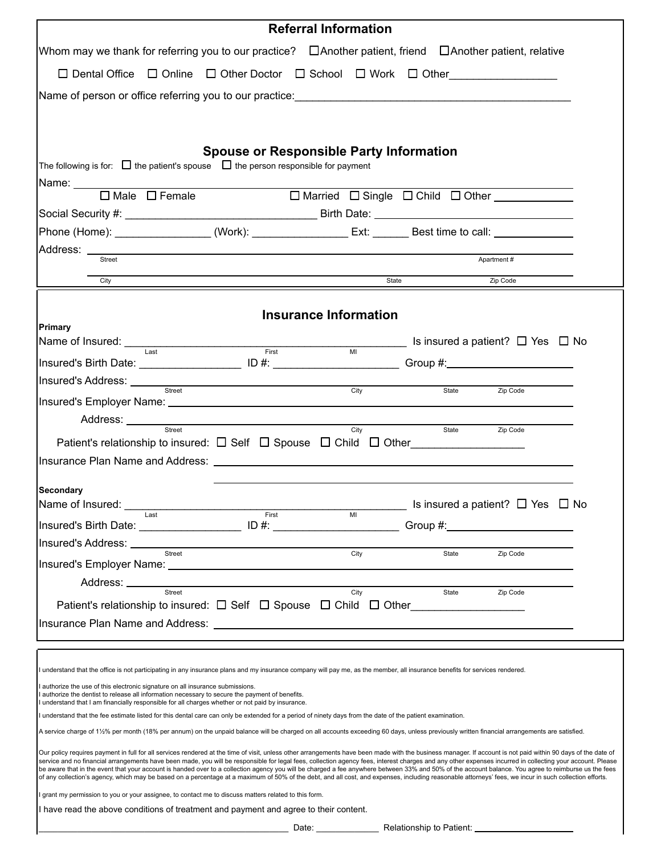|                                                                                                                                                                                                                                                                                                                                                                                                                |                                                                                                                                                                                                           | <b>Referral Information</b>  |                                                                   |                                            |  |
|----------------------------------------------------------------------------------------------------------------------------------------------------------------------------------------------------------------------------------------------------------------------------------------------------------------------------------------------------------------------------------------------------------------|-----------------------------------------------------------------------------------------------------------------------------------------------------------------------------------------------------------|------------------------------|-------------------------------------------------------------------|--------------------------------------------|--|
| Whom may we thank for referring you to our practice? □ Another patient, friend □ Another patient, relative                                                                                                                                                                                                                                                                                                     |                                                                                                                                                                                                           |                              |                                                                   |                                            |  |
| $\Box$ Dental Office $\Box$ Online $\Box$ Other Doctor $\Box$ School $\Box$ Work $\Box$ Other                                                                                                                                                                                                                                                                                                                  |                                                                                                                                                                                                           |                              |                                                                   |                                            |  |
| Name of person or office referring you to our practice: example and all proportional control of the state of the state of the state of the state of the state of the state of the state of the state of the state of the state                                                                                                                                                                                 |                                                                                                                                                                                                           |                              |                                                                   |                                            |  |
|                                                                                                                                                                                                                                                                                                                                                                                                                |                                                                                                                                                                                                           |                              |                                                                   |                                            |  |
|                                                                                                                                                                                                                                                                                                                                                                                                                |                                                                                                                                                                                                           |                              |                                                                   |                                            |  |
|                                                                                                                                                                                                                                                                                                                                                                                                                | <b>Spouse or Responsible Party Information</b>                                                                                                                                                            |                              |                                                                   |                                            |  |
| The following is for: $\Box$ the patient's spouse $\Box$ the person responsible for payment                                                                                                                                                                                                                                                                                                                    |                                                                                                                                                                                                           |                              |                                                                   |                                            |  |
| $\Box$ Male $\Box$ Female                                                                                                                                                                                                                                                                                                                                                                                      |                                                                                                                                                                                                           |                              | □ Married □ Single □ Child □ Other ___________                    |                                            |  |
|                                                                                                                                                                                                                                                                                                                                                                                                                |                                                                                                                                                                                                           |                              |                                                                   |                                            |  |
| Phone (Home): _____________________(Work): ___________________Ext: ________Best time to call: _______________                                                                                                                                                                                                                                                                                                  |                                                                                                                                                                                                           |                              |                                                                   |                                            |  |
| Street                                                                                                                                                                                                                                                                                                                                                                                                         |                                                                                                                                                                                                           |                              |                                                                   | Apartment#                                 |  |
|                                                                                                                                                                                                                                                                                                                                                                                                                |                                                                                                                                                                                                           |                              |                                                                   |                                            |  |
| City                                                                                                                                                                                                                                                                                                                                                                                                           |                                                                                                                                                                                                           |                              | State                                                             | Zip Code                                   |  |
|                                                                                                                                                                                                                                                                                                                                                                                                                |                                                                                                                                                                                                           | <b>Insurance Information</b> |                                                                   |                                            |  |
| Primary                                                                                                                                                                                                                                                                                                                                                                                                        |                                                                                                                                                                                                           |                              | $\frac{1}{\text{min}}$ Is insured a patient? $\Box$ Yes $\Box$ No |                                            |  |
| Name of Insured: Last                                                                                                                                                                                                                                                                                                                                                                                          | First                                                                                                                                                                                                     |                              |                                                                   |                                            |  |
| Insured's Birth Date: _______________________ ID #: __________________________Group #:________________________<br>Insured's Address: _________                                                                                                                                                                                                                                                                 |                                                                                                                                                                                                           |                              |                                                                   |                                            |  |
| Street                                                                                                                                                                                                                                                                                                                                                                                                         | <u> 1989 - Johann Barn, amerikansk politiker (d. 1989)</u>                                                                                                                                                | City                         | State                                                             | Zip Code                                   |  |
| Address: __________                                                                                                                                                                                                                                                                                                                                                                                            |                                                                                                                                                                                                           |                              |                                                                   |                                            |  |
| Street                                                                                                                                                                                                                                                                                                                                                                                                         | <u> 1989 - Johann Barn, amerikan besteman besteman besteman besteman besteman besteman besteman besteman bestema</u>                                                                                      | City                         | State                                                             | Zip Code                                   |  |
| Patient's relationship to insured: $\Box$ Self $\Box$ Spouse $\Box$ Child $\Box$ Other                                                                                                                                                                                                                                                                                                                         |                                                                                                                                                                                                           |                              |                                                                   |                                            |  |
| Insurance Plan Name and Address: Letter and Address and Address and Address and Address and Address and Address and Address and Address and Address and Address and Address and Address and Address and Address and Address an                                                                                                                                                                                 |                                                                                                                                                                                                           |                              |                                                                   |                                            |  |
| Secondary                                                                                                                                                                                                                                                                                                                                                                                                      |                                                                                                                                                                                                           |                              |                                                                   |                                            |  |
| Name of Insured:<br>Last                                                                                                                                                                                                                                                                                                                                                                                       | First                                                                                                                                                                                                     | M <sub>l</sub>               |                                                                   | Is insured a patient? $\Box$ Yes $\Box$ No |  |
| Insured's Birth Date: ____________________ ID #: ______                                                                                                                                                                                                                                                                                                                                                        |                                                                                                                                                                                                           |                              |                                                                   |                                            |  |
| Insured's Address: _____<br>Street                                                                                                                                                                                                                                                                                                                                                                             |                                                                                                                                                                                                           | City                         | State                                                             | Zip Code                                   |  |
|                                                                                                                                                                                                                                                                                                                                                                                                                |                                                                                                                                                                                                           |                              |                                                                   |                                            |  |
| Address: ___________<br>Street                                                                                                                                                                                                                                                                                                                                                                                 |                                                                                                                                                                                                           | City                         | State                                                             | Zip Code                                   |  |
| Patient's relationship to insured: $\Box$ Self $\Box$ Spouse $\Box$ Child $\Box$ Other                                                                                                                                                                                                                                                                                                                         |                                                                                                                                                                                                           |                              |                                                                   |                                            |  |
| Insurance Plan Name and Address: Name of American State of Address and Address and Address and Address and Address and Address and Address and Address and Address and Address and Address and Address and Address and Address                                                                                                                                                                                 |                                                                                                                                                                                                           |                              |                                                                   |                                            |  |
|                                                                                                                                                                                                                                                                                                                                                                                                                |                                                                                                                                                                                                           |                              |                                                                   |                                            |  |
| understand that the office is not participating in any insurance plans and my insurance company will pay me, as the member, all insurance benefits for services rendered.                                                                                                                                                                                                                                      |                                                                                                                                                                                                           |                              |                                                                   |                                            |  |
| authorize the use of this electronic signature on all insurance submissions.                                                                                                                                                                                                                                                                                                                                   |                                                                                                                                                                                                           |                              |                                                                   |                                            |  |
| authorize the dentist to release all information necessary to secure the payment of benefits.<br>I understand that I am financially responsible for all charges whether or not paid by insurance.                                                                                                                                                                                                              |                                                                                                                                                                                                           |                              |                                                                   |                                            |  |
| understand that the fee estimate listed for this dental care can only be extended for a period of ninety days from the date of the patient examination.                                                                                                                                                                                                                                                        |                                                                                                                                                                                                           |                              |                                                                   |                                            |  |
| A service charge of 1½% per month (18% per annum) on the unpaid balance will be charged on all accounts exceeding 60 days, unless previously written financial arrangements are satisfied.                                                                                                                                                                                                                     |                                                                                                                                                                                                           |                              |                                                                   |                                            |  |
| Our policy requires payment in full for all services rendered at the time of visit, unless other arrangements have been made with the business manager. If account is not paid within 90 days of the date of                                                                                                                                                                                                   |                                                                                                                                                                                                           |                              |                                                                   |                                            |  |
| be aware that in the event that your account is handed over to a collection agency you will be charged a fee anywhere between 33% and 50% of the account balance. You agree to reimburse us the fees<br>of any collection's agency, which may be based on a percentage at a maximum of 50% of the debt, and all cost, and expenses, including reasonable attorneys' fees, we incur in such collection efforts. | service and no financial arrangements have been made, you will be responsible for legal fees, collection agency fees, interest charges and any other expenses incurred in collecting your account. Please |                              |                                                                   |                                            |  |
| I grant my permission to you or your assignee, to contact me to discuss matters related to this form.<br>I have read the above conditions of treatment and payment and agree to their content.                                                                                                                                                                                                                 |                                                                                                                                                                                                           |                              |                                                                   |                                            |  |

\_ Date: \_\_\_\_\_\_\_\_\_\_\_\_\_\_\_\_\_\_\_\_ Relationship to Patient: \_

 $\mathsf{l}$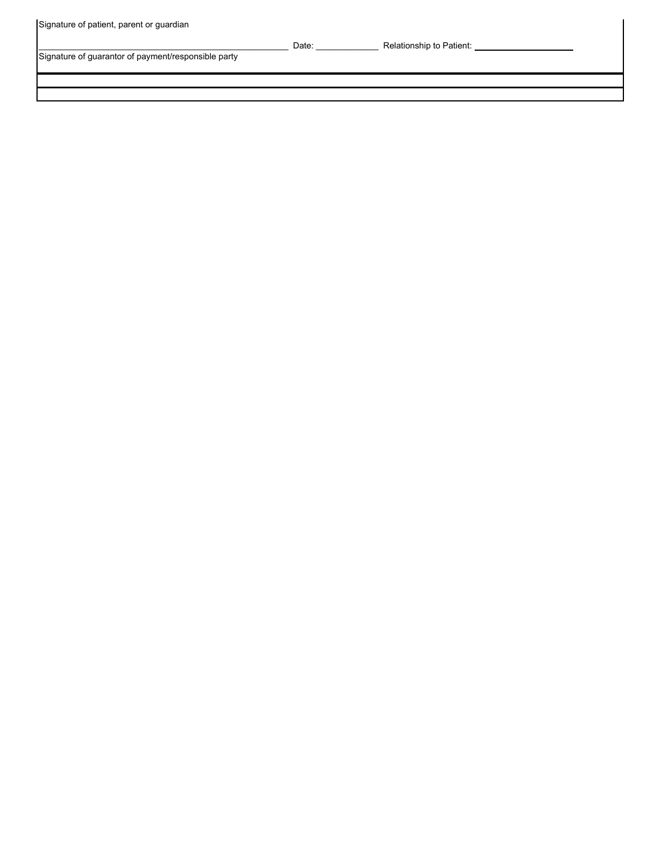| Signature of patient, parent or guardian |  |  |
|------------------------------------------|--|--|
|                                          |  |  |

Signature of guarantor of payment/responsible party

\_\_\_\_\_\_\_\_\_\_\_\_\_\_\_\_\_\_\_\_\_\_\_\_\_\_\_\_\_\_\_\_\_\_\_\_\_\_\_\_\_\_\_\_\_\_\_\_\_\_\_\_ Date: \_\_\_\_\_\_\_\_\_\_\_\_\_ Relationship to Patient: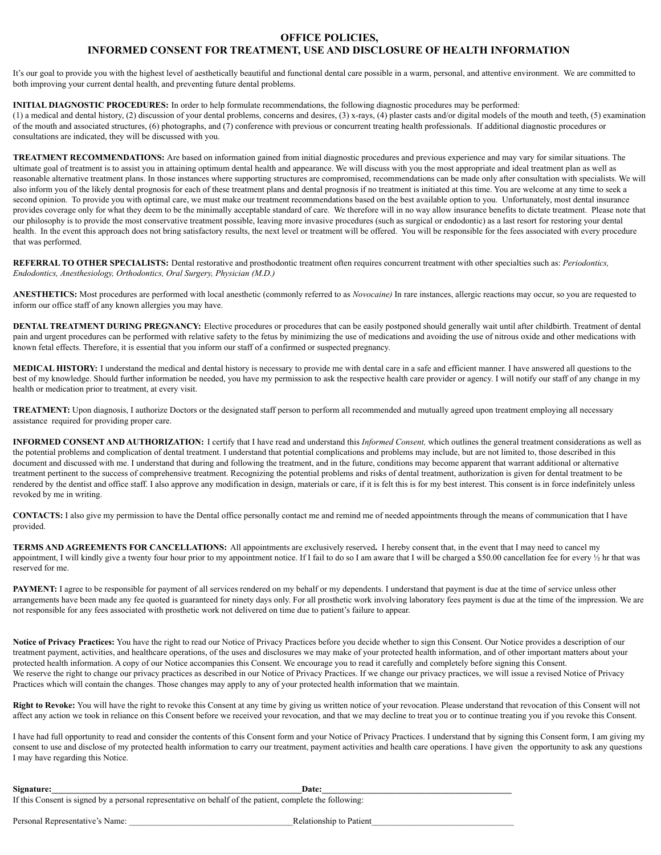## **INFORMED CONSENT FOR TREATMENT, USE AND DISCLOSURE OF HEALTH INFORMATION OFFICE POLICIES,**

It's our goal to provide you with the highest level of aesthetically beautiful and functional dental care possible in a warm, personal, and attentive environment. We are committed to both improving your current dental health, and preventing future dental problems.

## **INITIAL DIAGNOSTIC PROCEDURES:** In order to help formulate recommendations, the following diagnostic procedures may be performed:

 (1) a medical and dental history, (2) discussion of your dental problems, concerns and desires, (3) x-rays, (4) plaster casts and/or digital models of the mouth and teeth, (5) examination of the mouth and associated structures, (6) photographs, and (7) conference with previous or concurrent treating health professionals. If additional diagnostic procedures or consultations are indicated, they will be discussed with you.

 **TREATMENT RECOMMENDATIONS:** Are based on information gained from initial diagnostic procedures and previous experience and may vary for similar situations. The ultimate goal of treatment is to assist you in attaining optimum dental health and appearance. We will discuss with you the most appropriate and ideal treatment plan as well as reasonable alternative treatment plans. In those instances where supporting structures are compromised, recommendations can be made only after consultation with specialists. We will also inform you of the likely dental prognosis for each of these treatment plans and dental prognosis if no treatment is initiated at this time. You are welcome at any time to seek a second opinion. To provide you with optimal care, we must make our treatment recommendations based on the best available option to you. Unfortunately, most dental insurance provides coverage only for what they deem to be the minimally acceptable standard of care. We therefore will in no way allow insurance benefits to dictate treatment. Please note that our philosophy is to provide the most conservative treatment possible, leaving more invasive procedures (such as surgical or endodontic) as a last resort for restoring your dental health. In the event this approach does not bring satisfactory results, the next level or treatment will be offered. You will be responsible for the fees associated with every procedure that was performed.

 **REFERRAL TO OTHER SPECIALISTS:** Dental restorative and prosthodontic treatment often requires concurrent treatment with other specialties such as: *Periodontics, Endodontics, Anesthesiology, Orthodontics, Oral Surgery, Physician (M.D.)*

 **ANESTHETICS:** Most procedures are performed with local anesthetic (commonly referred to as *Novocaine)* In rare instances, allergic reactions may occur, so you are requested to inform our office staff of any known allergies you may have.

**DENTAL TREATMENT DURING PREGNANCY:** Elective procedures or procedures that can be easily postponed should generally wait until after childbirth. Treatment of dental pain and urgent procedures can be performed with relative safety to the fetus by minimizing the use of medications and avoiding the use of nitrous oxide and other medications with known fetal effects. Therefore, it is essential that you inform our staff of a confirmed or suspected pregnancy.

 **MEDICAL HISTORY:** I understand the medical and dental history is necessary to provide me with dental care in a safe and efficient manner. I have answered all questions to the best of my knowledge. Should further information be needed, you have my permission to ask the respective health care provider or agency. I will notify our staff of any change in my health or medication prior to treatment, at every visit.

 **TREATMENT:** Upon diagnosis, I authorize Doctors or the designated staff person to perform all recommended and mutually agreed upon treatment employing all necessary assistance required for providing proper care.

 **INFORMED CONSENT AND AUTHORIZATION:** I certify that I have read and understand this *Informed Consent,* which outlines the general treatment considerations as well as the potential problems and complication of dental treatment. I understand that potential complications and problems may include, but are not limited to, those described in this document and discussed with me. I understand that during and following the treatment, and in the future, conditions may become apparent that warrant additional or alternative treatment pertinent to the success of comprehensive treatment. Recognizing the potential problems and risks of dental treatment, authorization is given for dental treatment to be rendered by the dentist and office staff. I also approve any modification in design, materials or care, if it is felt this is for my best interest. This consent is in force indefinitely unless revoked by me in writing.

 **CONTACTS:** I also give my permission to have the Dental office personally contact me and remind me of needed appointments through the means of communication that I have provided.

**TERMS** AND AGREEMENTS FOR CANCELLATIONS: All appointments are exclusively reserved. I hereby consent that, in the event that I may need to cancel my appointment, I will kindly give a twenty four hour prior to my appointment notice. If I fail to do so I am aware that I will be charged a \$50.00 cancellation fee for every  $\frac{1}{2}$  hr that was reserved for me.

**PAYMENT:** I agree to be responsible for payment of all services rendered on my behalf or my dependents. I understand that payment is due at the time of service unless other arrangements have been made any fee quoted is guaranteed for ninety days only. For all prosthetic work involving laboratory fees payment is due at the time of the impression. We are not responsible for any fees associated with prosthetic work not delivered on time due to patient's failure to appear.

Notice of Privacy Practices: You have the right to read our Notice of Privacy Practices before you decide whether to sign this Consent. Our Notice provides a description of our treatment payment, activities, and healthcare operations, of the uses and disclosures we may make of your protected health information, and of other important matters about your protected health information. A copy of our Notice accompanies this Consent. We encourage you to read it carefully and completely before signing this Consent. We reserve the right to change our privacy practices as described in our Notice of Privacy Practices. If we change our privacy practices, we will issue a revised Notice of Privacy Practices which will contain the changes. Those changes may apply to any of your protected health information that we maintain.

 **Right to Revoke:** You will have the right to revoke this Consent at any time by giving us written notice of your revocation. Please understand that revocation of this Consent will not affect any action we took in reliance on this Consent before we received your revocation, and that we may decline to treat you or to continue treating you if you revoke this Consent.

 I have had full opportunity to read and consider the contents of this Consent form and your Notice of Privacy Practices. I understand that by signing this Consent form, I am giving my consent to use and disclose of my protected health information to carry our treatment, payment activities and health care operations. I have given the opportunity to ask any questions I may have regarding this Notice.

| Signature:                                                                                               | Date: |
|----------------------------------------------------------------------------------------------------------|-------|
| If this Consent is signed by a personal representative on behalf of the patient, complete the following: |       |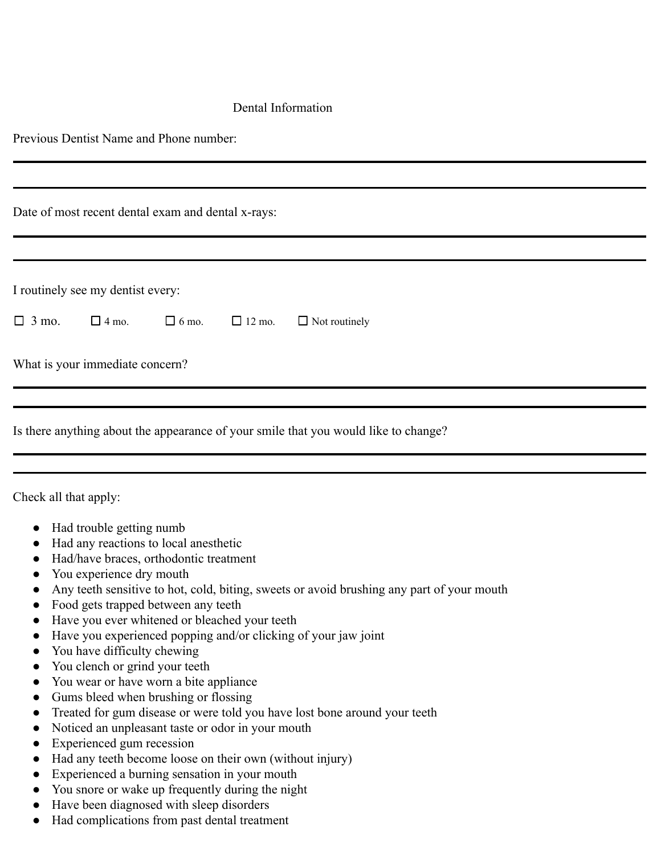## Dental Information

Previous Dentist Name and Phone number:

|              |                                   | Date of most recent dental exam and dental x-rays: |               |                      |
|--------------|-----------------------------------|----------------------------------------------------|---------------|----------------------|
|              |                                   |                                                    |               |                      |
|              | I routinely see my dentist every: |                                                    |               |                      |
| $\Box$ 3 mo. | $\Box$ 4 mo.                      | $\Box$ 6 mo.                                       | $\Box$ 12 mo. | $\Box$ Not routinely |
|              | What is your immediate concern?   |                                                    |               |                      |
|              |                                   |                                                    |               |                      |

|  | __ |  |
|--|----|--|
|  |    |  |
|  |    |  |
|  |    |  |
|  |    |  |
|  |    |  |
|  |    |  |
|  |    |  |
|  |    |  |
|  |    |  |
|  |    |  |
|  |    |  |

Check all that apply:

- Had trouble getting numb
- Had any reactions to local anesthetic
- Had/have braces, orthodontic treatment
- You experience dry mouth
- Any teeth sensitive to hot, cold, biting, sweets or avoid brushing any part of your mouth
- Food gets trapped between any teeth
- Have you ever whitened or bleached your teeth
- Have you experienced popping and/or clicking of your jaw joint
- You have difficulty chewing
- You clench or grind your teeth
- You wear or have worn a bite appliance
- Gums bleed when brushing or flossing
- Treated for gum disease or were told you have lost bone around your teeth
- Noticed an unpleasant taste or odor in your mouth
- Experienced gum recession
- Had any teeth become loose on their own (without injury)
- Experienced a burning sensation in your mouth
- You snore or wake up frequently during the night
- Have been diagnosed with sleep disorders
- Had complications from past dental treatment